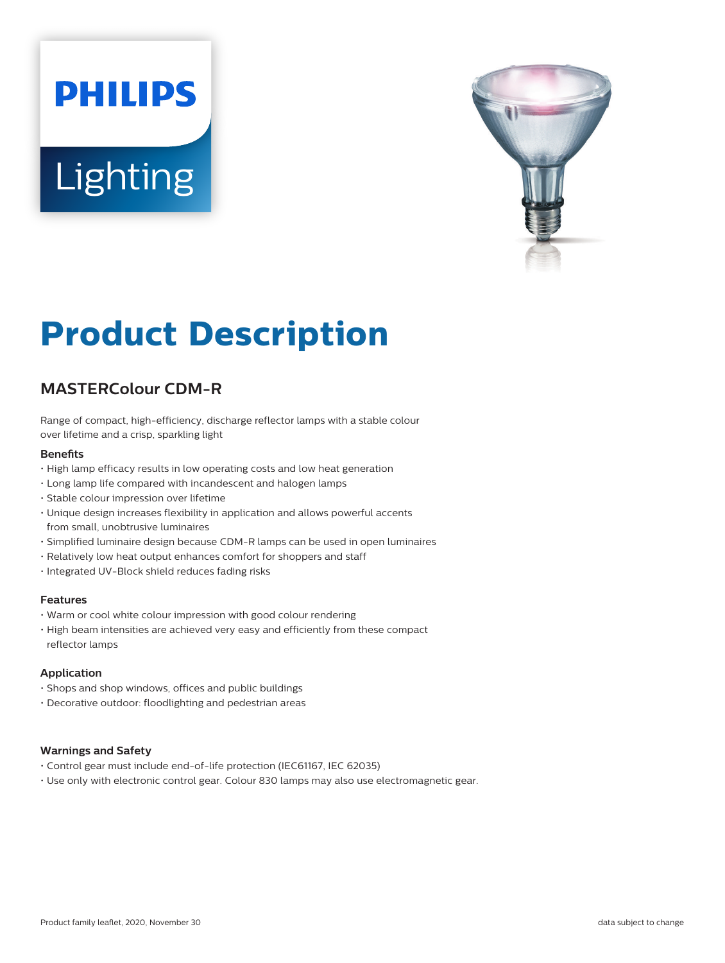# **PHILIPS Lighting**



# **Product Description**

# **MASTERColour CDM-R**

Range of compact, high-efficiency, discharge reflector lamps with a stable colour over lifetime and a crisp, sparkling light

#### **Benets**

- High lamp efficacy results in low operating costs and low heat generation
- Long lamp life compared with incandescent and halogen lamps
- Stable colour impression over lifetime
- Unique design increases flexibility in application and allows powerful accents from small, unobtrusive luminaires
- Simplified luminaire design because CDM-R lamps can be used in open luminaires
- Relatively low heat output enhances comfort for shoppers and staff
- Integrated UV-Block shield reduces fading risks

#### **Features**

- Warm or cool white colour impression with good colour rendering
- High beam intensities are achieved very easy and efficiently from these compact reflector lamps

#### **Application**

- Shops and shop windows, offices and public buildings
- Decorative outdoor: floodlighting and pedestrian areas

#### **Warnings and Safety**

- Control gear must include end-of-life protection (IEC61167, IEC 62035)
- Use only with electronic control gear. Colour 830 lamps may also use electromagnetic gear.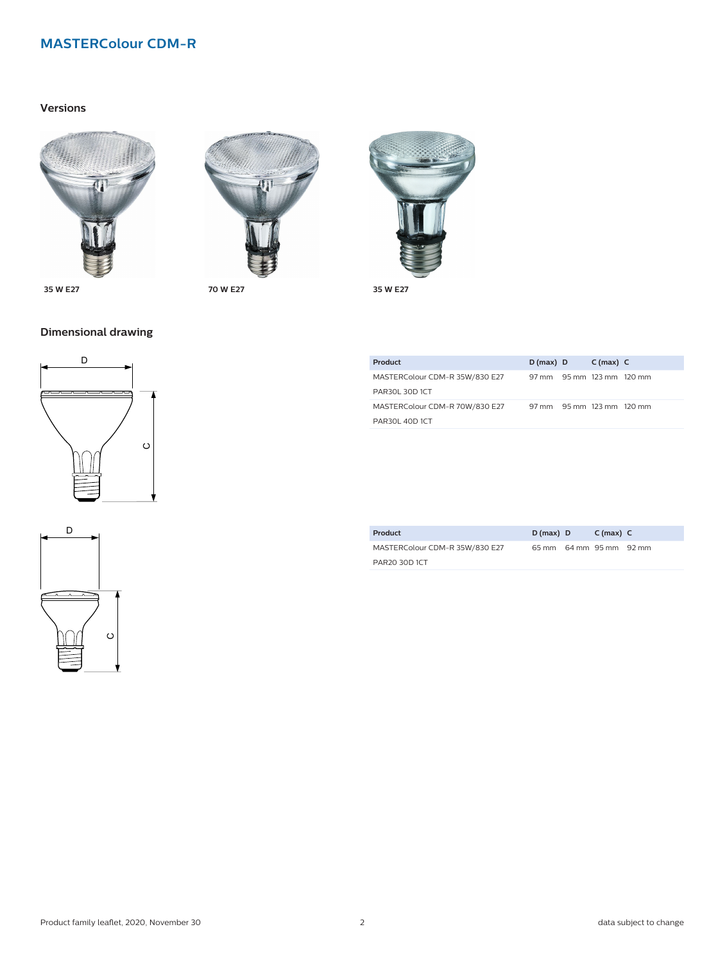#### **Versions**





| <b>Dimensional drawing</b> |  |
|----------------------------|--|
|----------------------------|--|





| Product                        | $D(max)$ D | $C$ (max) $C$             |  |
|--------------------------------|------------|---------------------------|--|
| MASTERColour CDM-R 35W/830 E27 |            | 97 mm 95 mm 123 mm 120 mm |  |
| PAR30L 30D 1CT                 |            |                           |  |
| MASTERColour CDM-R 70W/830 E27 |            | 97 mm 95 mm 123 mm 120 mm |  |
| PAR30L 40D 1CT                 |            |                           |  |
|                                |            |                           |  |

| Product                        | $D(max)$ D | $C(max)$ C              |  |
|--------------------------------|------------|-------------------------|--|
| MASTERColour CDM-R 35W/830 E27 |            | 65 mm 64 mm 95 mm 92 mm |  |
| PAR20 30D 1CT                  |            |                         |  |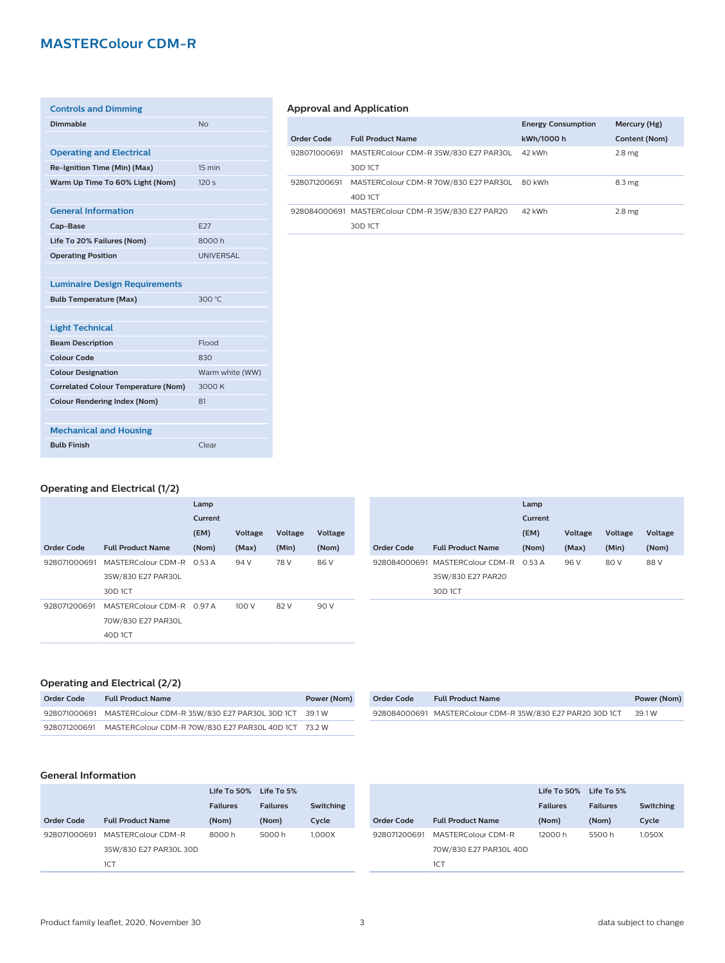| <b>Controls and Dimming</b>                |                  |
|--------------------------------------------|------------------|
| Dimmable                                   | N <sub>0</sub>   |
|                                            |                  |
| <b>Operating and Electrical</b>            |                  |
| Re-Ignition Time (Min) (Max)               | 15 min           |
| Warm Up Time To 60% Light (Nom)            | 120s             |
|                                            |                  |
| <b>General Information</b>                 |                  |
| Cap-Base                                   | <b>F27</b>       |
| Life To 20% Failures (Nom)                 | 8000h            |
| <b>Operating Position</b>                  | <b>UNIVERSAL</b> |
|                                            |                  |
| <b>Luminaire Design Requirements</b>       |                  |
| <b>Bulb Temperature (Max)</b>              | 300 °C           |
|                                            |                  |
| <b>Light Technical</b>                     |                  |
| <b>Beam Description</b>                    | Flood            |
| <b>Colour Code</b>                         | 830              |
| <b>Colour Designation</b>                  | Warm white (WW)  |
| <b>Correlated Colour Temperature (Nom)</b> | 3000 K           |
| <b>Colour Rendering Index (Nom)</b>        | 81               |
|                                            |                  |
| <b>Mechanical and Housing</b>              |                  |
| <b>Bulb Finish</b>                         | Clear            |

#### **Approval and Application**

|              |                                                              | <b>Energy Consumption</b> | Mercury (Hg)      |
|--------------|--------------------------------------------------------------|---------------------------|-------------------|
| Order Code   | <b>Full Product Name</b>                                     | kWh/1000 h                | Content (Nom)     |
| 928071000691 | MASTERColour CDM-R 35W/830 E27 PAR30L<br>30D 1CT             | 42 kWh                    | 2.8 <sub>mg</sub> |
| 928071200691 | MASTERColour CDM-R 70W/830 E27 PAR30L<br>40D 1CT             | 80 kWh                    | 8.3 <sub>mg</sub> |
|              | 928084000691 MASTERColour CDM-R 35W/830 E27 PAR20<br>30D 1CT | 42 kWh                    | 2.8 <sub>mg</sub> |

#### **Operating and Electrical (1/2)**

|                   |                          | Lamp    |         |         |         |
|-------------------|--------------------------|---------|---------|---------|---------|
|                   |                          | Current |         |         |         |
|                   |                          | (EM)    | Voltage | Voltage | Voltage |
| <b>Order Code</b> | <b>Full Product Name</b> | (Nom)   | (Max)   | (Min)   | (Nom)   |
| 928071000691      | MASTERColour CDM-R       | 0.53 A  | 94 V    | 78 V    | 86 V    |
|                   | 35W/830 E27 PAR30L       |         |         |         |         |
|                   | 30D 1CT                  |         |         |         |         |
| 928071200691      | MASTERColour CDM-R       | 0.97 A  | 100 V   | 82 V    | 90 V    |
|                   | 70W/830 E27 PAR30L       |         |         |         |         |
|                   | 40D 1CT                  |         |         |         |         |
|                   |                          |         |         |         |         |

|            |                                 | Lamp    |         |         |         |
|------------|---------------------------------|---------|---------|---------|---------|
|            |                                 | Current |         |         |         |
|            |                                 | (EM)    | Voltage | Voltage | Voltage |
| Order Code | <b>Full Product Name</b>        | (Nom)   | (Max)   | (Min)   | (Nom)   |
|            | 928084000691 MASTERColour CDM-R | 0.53A   | 96 V    | 80 V    | 88 V    |
|            | 35W/830 E27 PAR20               |         |         |         |         |
|            | 30D 1CT                         |         |         |         |         |

#### **Operating and Electrical (2/2)**

| Order Code | <b>Full Product Name</b>                                          | Power (Nom) |
|------------|-------------------------------------------------------------------|-------------|
|            | 928071000691 MASTERColour CDM-R 35W/830 E27 PAR30L 30D 1CT 39.1 W |             |
|            | 928071200691 MASTERColour CDM-R 70W/830 E27 PAR30L 40D 1CT 73.2 W |             |

| Order Code | <b>Full Product Name</b>                                  | Power (Nom) |
|------------|-----------------------------------------------------------|-------------|
|            | 928084000691 MASTERColour CDM-R 35W/830 E27 PAR20 30D 1CT | 39.1 W      |

#### **General Information**

|              |                          | Life To 50%     | Life To 5%      |                  |
|--------------|--------------------------|-----------------|-----------------|------------------|
|              |                          | <b>Failures</b> | <b>Failures</b> | <b>Switching</b> |
| Order Code   | <b>Full Product Name</b> | (Nom)           | (Nom)           | Cycle            |
| 928071000691 | MASTERColour CDM-R       | 8000 h          | 5000 h          | 1.000X           |
|              | 35W/830 E27 PAR30L 30D   |                 |                 |                  |
|              | 1CT                      |                 |                 |                  |

|              |                          | Life To 50% Life To 5% |                 |           |
|--------------|--------------------------|------------------------|-----------------|-----------|
|              |                          | <b>Failures</b>        | <b>Failures</b> | Switching |
| Order Code   | <b>Full Product Name</b> | (Nom)                  | (Nom)           | Cycle     |
| 928071200691 | MASTERColour CDM-R       | 12000 h                | 5500 h          | 1.050X    |
|              | 70W/830 E27 PAR30L 40D   |                        |                 |           |
|              | 1CT                      |                        |                 |           |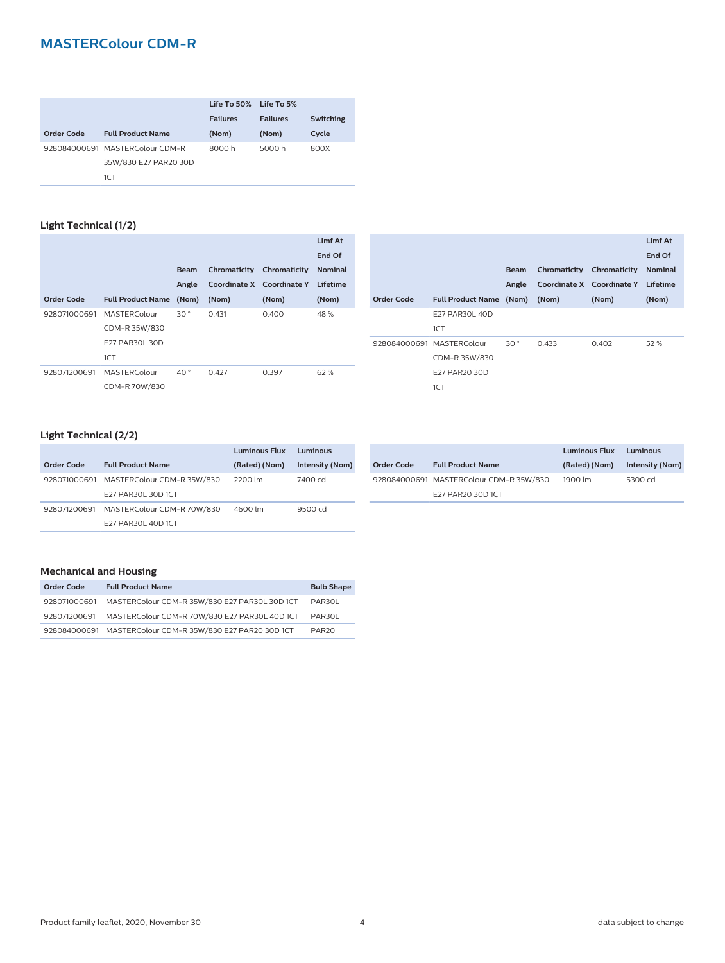|            |                                 | Life To 50%     | $I$ ife To 5%   |           |
|------------|---------------------------------|-----------------|-----------------|-----------|
|            |                                 | <b>Failures</b> | <b>Failures</b> | Switching |
| Order Code | <b>Full Product Name</b>        | (Nom)           | (Nom)           | Cycle     |
|            | 928084000691 MASTERColour CDM-R | 8000 h          | 5000 h          | 800X      |
|            | 35W/830 E27 PAR20 30D           |                 |                 |           |
|            | 1CT                             |                 |                 |           |

#### **Light Technical (1/2)**

|              |                          |             |              |                           | <b>Llmf At</b> |
|--------------|--------------------------|-------------|--------------|---------------------------|----------------|
|              |                          |             |              |                           | End Of         |
|              |                          | <b>Beam</b> | Chromaticity | Chromaticity              | <b>Nominal</b> |
|              |                          | Angle       |              | Coordinate X Coordinate Y | Lifetime       |
| Order Code   | <b>Full Product Name</b> | (Nom)       | (Nom)        | (Nom)                     | (Nom)          |
| 928071000691 | MASTERColour             | 30°         | 0.431        | 0.400                     | 48%            |
|              | CDM-R 35W/830            |             |              |                           |                |
|              | E27 PAR30L 30D           |             |              |                           |                |
|              | 1CT                      |             |              |                           |                |
| 928071200691 | MASTERColour             | 40°         | 0.427        | 0.397                     | 62%            |
|              | CDM-R 70W/830            |             |              |                           |                |

|                           |                          |             |              |                                    | Llmf At        |
|---------------------------|--------------------------|-------------|--------------|------------------------------------|----------------|
|                           |                          |             |              |                                    | End Of         |
|                           |                          | <b>Beam</b> | Chromaticity | Chromaticity                       | <b>Nominal</b> |
|                           |                          | Angle       |              | Coordinate X Coordinate Y Lifetime |                |
| Order Code                | <b>Full Product Name</b> | (Nom)       | (Nom)        | (Nom)                              | (Nom)          |
|                           | <b>F27 PAR30L 40D</b>    |             |              |                                    |                |
|                           | 1CT                      |             |              |                                    |                |
| 928084000691 MASTERColour |                          | 30°         | 0.433        | 0.402                              | 52%            |
|                           | CDM-R 35W/830            |             |              |                                    |                |
|                           | <b>E27 PAR20 30D</b>     |             |              |                                    |                |
|                           | 1CT                      |             |              |                                    |                |

#### **Light Technical (2/2)**

|              |                                         | <b>Luminous Flux</b> | Luminous               |
|--------------|-----------------------------------------|----------------------|------------------------|
| Order Code   | <b>Full Product Name</b>                | (Rated) (Nom)        | <b>Intensity (Nom)</b> |
|              | 928071000691 MASTERColour CDM-R 35W/830 | 2200 lm              | 7400 cd                |
|              | <b>E27 PAR30L 30D 1CT</b>               |                      |                        |
| 928071200691 | MASTERColour CDM-R 70W/830              | 4600 lm              | 9500 cd                |
|              | E27 PAR30L 40D 1CT                      |                      |                        |

|            |                                         | <b>Luminous Flux</b> | Luminous        |
|------------|-----------------------------------------|----------------------|-----------------|
| Order Code | <b>Full Product Name</b>                | (Rated) (Nom)        | Intensity (Nom) |
|            | 928084000691 MASTERColour CDM-R 35W/830 | 1900 lm              | 5300 cd         |
|            | E27 PAR20 30D 1CT                       |                      |                 |

#### **Mechanical and Housing**

| Order Code   | <b>Full Product Name</b>                                   | <b>Bulb Shape</b> |
|--------------|------------------------------------------------------------|-------------------|
|              | 928071000691 MASTERColour CDM-R 35W/830 E27 PAR30L 30D 1CT | PAR30L            |
| 928071200691 | MASTERColour CDM-R 70W/830 E27 PAR30L 40D 1CT              | PAR30L            |
|              | 928084000691 MASTERColour CDM-R 35W/830 E27 PAR20 30D 1CT  | PAR <sub>20</sub> |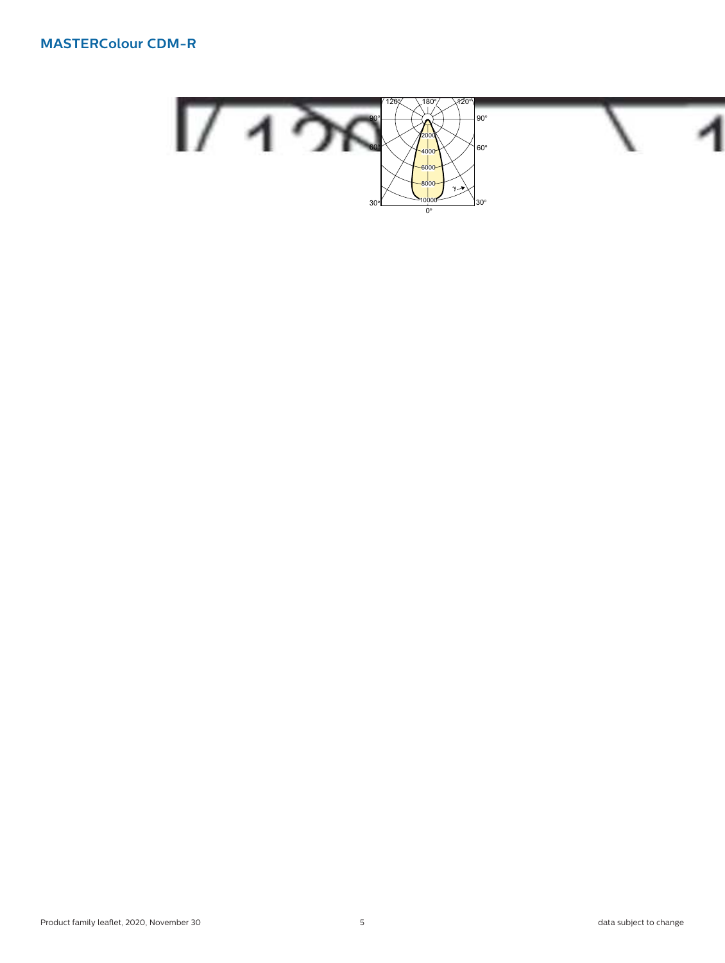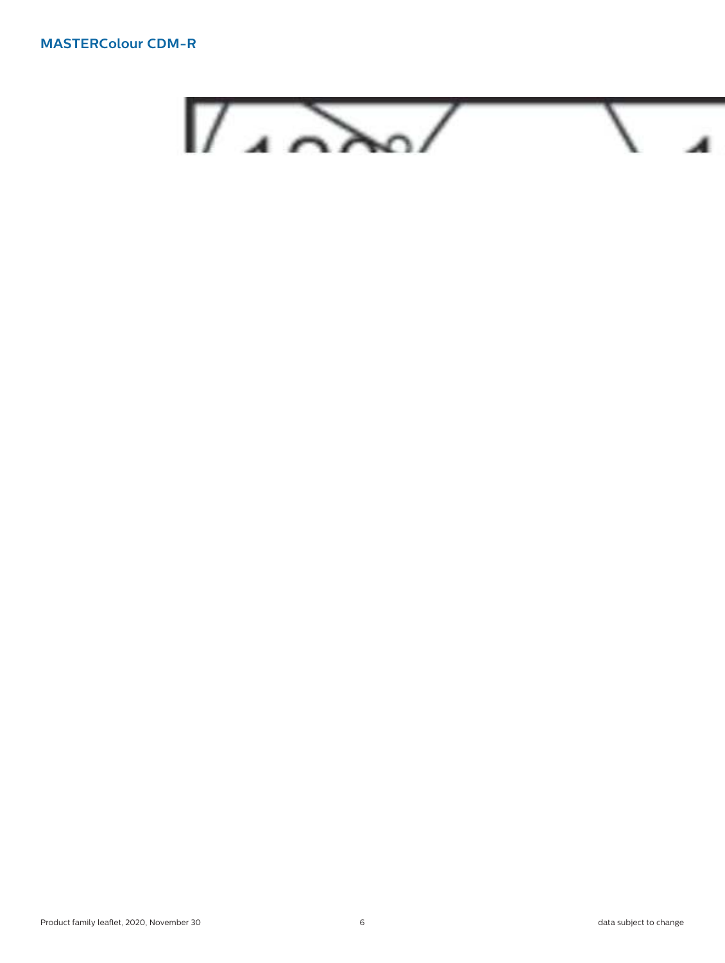